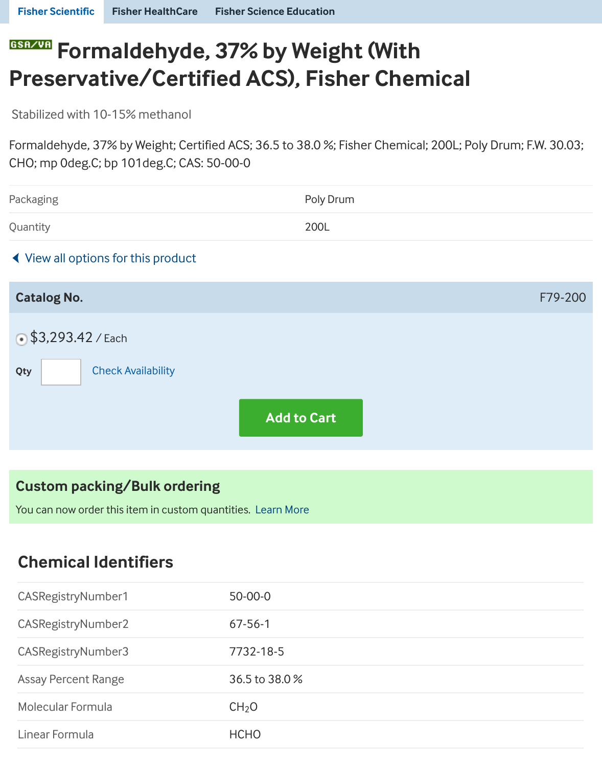[Stabilized with 1](https://www.fishersci.com/us/en/home.html)[0-15% methanol](https://www.fishersci.com/us/en/healthcare-products.html)

Formaldehyde, 37% by Weight; Certified ACS; 36.5 to 38.0 %; Fisher Chemical; 200L; Poly Dru CHO; mp 0deg.C; bp 101deg.C; CAS: 50-00-0

| Packaging                           | Poly Drum          |  |
|-------------------------------------|--------------------|--|
| Quantity                            | 200L               |  |
| ◀ View all options for this product |                    |  |
| <b>Catalog No.</b>                  |                    |  |
| $\bigcirc$ \$3,293.42 / Each        |                    |  |
| <b>Check Availability</b><br>Qty    |                    |  |
|                                     | <b>Add to Cart</b> |  |

### **Custom packing/Bulk ordering**

You can now order this item in custom quantities. Learn More

## **Chemical Identifiers**

| CASRegistryNumber1         | $50 - 00 - 0$     |
|----------------------------|-------------------|
| CASRegistryNumber2         | $67 - 56 - 1$     |
| CASRegistryNumber3         | 7732-18-5         |
| <b>Assay Percent Range</b> | 36.5 to 38.0%     |
| Molecular Formula          | CH <sub>2</sub> O |
| Linear Formula             | <b>HCHO</b>       |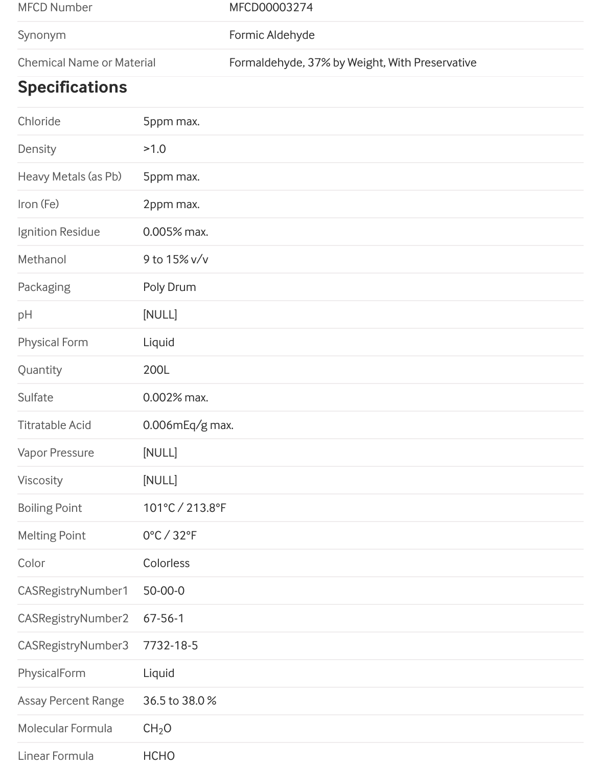| MFCD Number                      | MFCD00003274                                   |
|----------------------------------|------------------------------------------------|
| Synonym                          | Formic Aldehyde                                |
| <b>Chemical Name or Material</b> | Formaldehyde, 37% by Weight, With Preservative |

# **Specifications**

| Chloride                   | 5ppm max.                       |
|----------------------------|---------------------------------|
| Density                    | >1.0                            |
| Heavy Metals (as Pb)       | 5ppm max.                       |
| Iron (Fe)                  | 2ppm max.                       |
| Ignition Residue           | 0.005% max.                     |
| Methanol                   | 9 to 15% v/v                    |
| Packaging                  | Poly Drum                       |
| pH                         | [NULL]                          |
| <b>Physical Form</b>       | Liquid                          |
| Quantity                   | 200L                            |
| Sulfate                    | $0.002%$ max.                   |
| <b>Titratable Acid</b>     | $0.006$ mEq/g max.              |
| <b>Vapor Pressure</b>      | [NULL]                          |
| Viscosity                  | [NULL]                          |
| <b>Boiling Point</b>       | 101°C / 213.8°F                 |
| <b>Melting Point</b>       | $0^{\circ}$ C / 32 $^{\circ}$ F |
| Color                      | Colorless                       |
| CASRegistryNumber1         | 50-00-0                         |
| CASRegistryNumber2         | $67 - 56 - 1$                   |
| CASRegistryNumber3         | 7732-18-5                       |
| PhysicalForm               | Liquid                          |
| <b>Assay Percent Range</b> | 36.5 to 38.0%                   |
| Molecular Formula          | CH <sub>2</sub> O               |
| Linear Formula             | <b>HCHO</b>                     |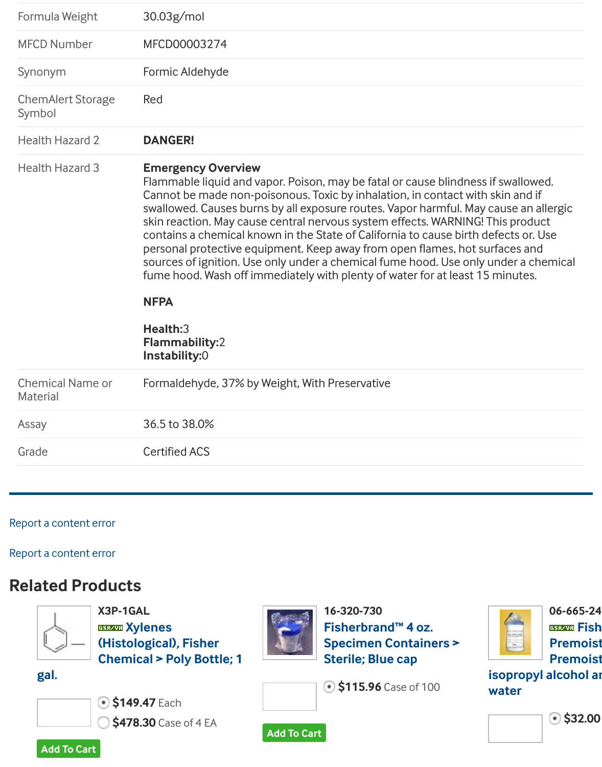| Symbol                                     |                                                                                                                                                                                                                                                                                                                                                                                                                                                                                                                                                                                                                                                                                                                            |
|--------------------------------------------|----------------------------------------------------------------------------------------------------------------------------------------------------------------------------------------------------------------------------------------------------------------------------------------------------------------------------------------------------------------------------------------------------------------------------------------------------------------------------------------------------------------------------------------------------------------------------------------------------------------------------------------------------------------------------------------------------------------------------|
| <b>Health Hazard 2</b>                     | <b>DANGER!</b>                                                                                                                                                                                                                                                                                                                                                                                                                                                                                                                                                                                                                                                                                                             |
| <b>Health Hazard 3</b>                     | <b>Emergency Overview</b><br>Flammable liquid and vapor. Poison, may be fatal or cause blindness if sw<br>Cannot be made non-poisonous. Toxic by inhalation, in contact with skin<br>swallowed. Causes burns by all exposure routes. Vapor harmful. May caus<br>skin reaction. May cause central nervous system effects. WARNING! This<br>contains a chemical known in the State of California to cause birth defect<br>personal protective equipment. Keep away from open flames, hot surface<br>sources of ignition. Use only under a chemical fume hood. Use only unde<br>fume hood. Wash off immediately with plenty of water for at least 15 min<br><b>NFPA</b><br>Health:3<br><b>Flammability:2</b><br>Instability:0 |
| <b>Chemical Name or</b><br><b>Material</b> | Formaldehyde, 37% by Weight, With Preservative                                                                                                                                                                                                                                                                                                                                                                                                                                                                                                                                                                                                                                                                             |
| Assay                                      | 36.5 to 38.0%                                                                                                                                                                                                                                                                                                                                                                                                                                                                                                                                                                                                                                                                                                              |
| Grade                                      | <b>Certified ACS</b>                                                                                                                                                                                                                                                                                                                                                                                                                                                                                                                                                                                                                                                                                                       |
|                                            |                                                                                                                                                                                                                                                                                                                                                                                                                                                                                                                                                                                                                                                                                                                            |

#### Report a content error

#### Report a content error

## **Related Products**



**X3P-1GAL Xylenes (Histological), Fisher [Che](https://www.fishersci.com/shop/products/formaldehyde-37-by-weight-with-preservative-certified-acs-fisher-chemical-7/f79200#)mical > Poly Bottle; 1**

**gal.**



**\$149.47** Each

**\$478.30** Case of 4 EA



**16-320-730 Fisherbrand™ 4 oz. Specimen Containers > Sterile; Blue cap**

**\$115.96** Case of 100



**isop wate**